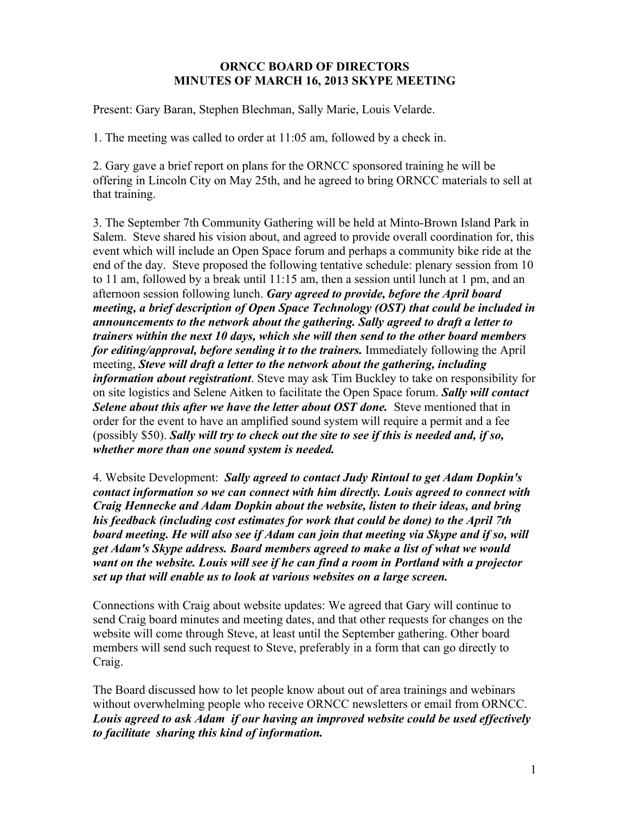## **ORNCC BOARD OF DIRECTORS MINUTES OF MARCH 16, 2013 SKYPE MEETING**

Present: Gary Baran, Stephen Blechman, Sally Marie, Louis Velarde.

1. The meeting was called to order at 11:05 am, followed by a check in.

2. Gary gave a brief report on plans for the ORNCC sponsored training he will be offering in Lincoln City on May 25th, and he agreed to bring ORNCC materials to sell at that training.

3. The September 7th Community Gathering will be held at Minto-Brown Island Park in Salem. Steve shared his vision about, and agreed to provide overall coordination for, this event which will include an Open Space forum and perhaps a community bike ride at the end of the day. Steve proposed the following tentative schedule: plenary session from 10 to 11 am, followed by a break until 11:15 am, then a session until lunch at 1 pm, and an afternoon session following lunch. *Gary agreed to provide, before the April board meeting, a brief description of Open Space Technology (OST) that could be included in announcements to the network about the gathering. Sally agreed to draft a letter to trainers within the next 10 days, which she will then send to the other board members for editing/approval, before sending it to the trainers.* Immediately following the April meeting, *Steve will draft a letter to the network about the gathering, including information about registrationt*. Steve may ask Tim Buckley to take on responsibility for on site logistics and Selene Aitken to facilitate the Open Space forum. *Sally will contact Selene about this after we have the letter about OST done.* Steve mentioned that in order for the event to have an amplified sound system will require a permit and a fee (possibly \$50). *Sally will try to check out the site to see if this is needed and, if so, whether more than one sound system is needed.*

4. Website Development: *Sally agreed to contact Judy Rintoul to get Adam Dopkin's contact information so we can connect with him directly. Louis agreed to connect with Craig Hennecke and Adam Dopkin about the website, listen to their ideas, and bring his feedback (including cost estimates for work that could be done) to the April 7th board meeting. He will also see if Adam can join that meeting via Skype and if so, will get Adam's Skype address. Board members agreed to make a list of what we would want on the website. Louis will see if he can find a room in Portland with a projector set up that will enable us to look at various websites on a large screen.*

Connections with Craig about website updates: We agreed that Gary will continue to send Craig board minutes and meeting dates, and that other requests for changes on the website will come through Steve, at least until the September gathering. Other board members will send such request to Steve, preferably in a form that can go directly to Craig.

The Board discussed how to let people know about out of area trainings and webinars without overwhelming people who receive ORNCC newsletters or email from ORNCC. *Louis agreed to ask Adam if our having an improved website could be used effectively to facilitate sharing this kind of information.*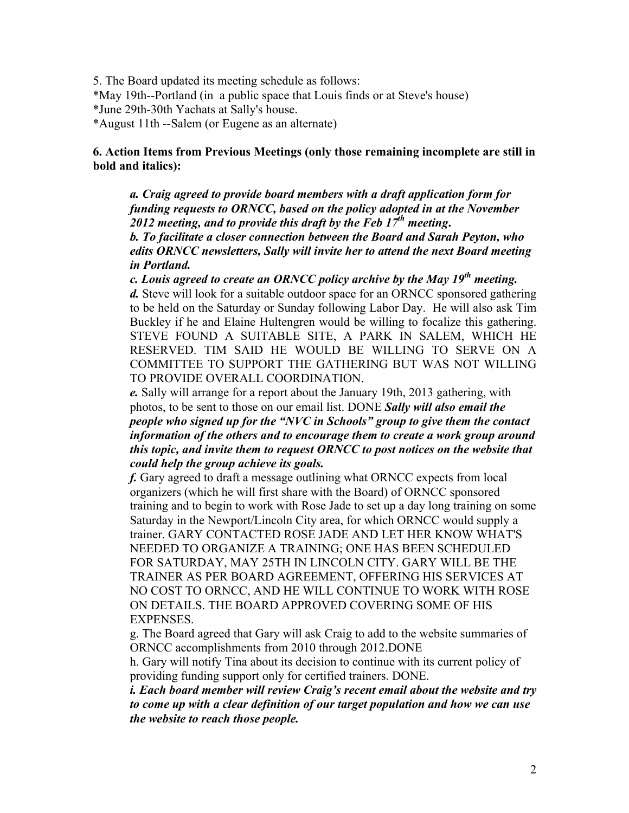5. The Board updated its meeting schedule as follows:

\*May 19th--Portland (in a public space that Louis finds or at Steve's house)

\*June 29th-30th Yachats at Sally's house.

\*August 11th --Salem (or Eugene as an alternate)

## **6. Action Items from Previous Meetings (only those remaining incomplete are still in bold and italics):**

*a. Craig agreed to provide board members with a draft application form for funding requests to ORNCC, based on the policy adopted in at the November 2012 meeting, and to provide this draft by the Feb 17th meeting***.**

*b. To facilitate a closer connection between the Board and Sarah Peyton, who edits ORNCC newsletters, Sally will invite her to attend the next Board meeting in Portland.* 

*c. Louis agreed to create an ORNCC policy archive by the May 19th meeting. d.* Steve will look for a suitable outdoor space for an ORNCC sponsored gathering to be held on the Saturday or Sunday following Labor Day. He will also ask Tim Buckley if he and Elaine Hultengren would be willing to focalize this gathering. STEVE FOUND A SUITABLE SITE, A PARK IN SALEM, WHICH HE RESERVED. TIM SAID HE WOULD BE WILLING TO SERVE ON A COMMITTEE TO SUPPORT THE GATHERING BUT WAS NOT WILLING TO PROVIDE OVERALL COORDINATION.

*e.* Sally will arrange for a report about the January 19th, 2013 gathering, with photos, to be sent to those on our email list. DONE *Sally will also email the people who signed up for the "NVC in Schools" group to give them the contact information of the others and to encourage them to create a work group around this topic, and invite them to request ORNCC to post notices on the website that could help the group achieve its goals.*

*f.* Gary agreed to draft a message outlining what ORNCC expects from local organizers (which he will first share with the Board) of ORNCC sponsored training and to begin to work with Rose Jade to set up a day long training on some Saturday in the Newport/Lincoln City area, for which ORNCC would supply a trainer. GARY CONTACTED ROSE JADE AND LET HER KNOW WHAT'S NEEDED TO ORGANIZE A TRAINING; ONE HAS BEEN SCHEDULED FOR SATURDAY, MAY 25TH IN LINCOLN CITY. GARY WILL BE THE TRAINER AS PER BOARD AGREEMENT, OFFERING HIS SERVICES AT NO COST TO ORNCC, AND HE WILL CONTINUE TO WORK WITH ROSE ON DETAILS. THE BOARD APPROVED COVERING SOME OF HIS EXPENSES.

g. The Board agreed that Gary will ask Craig to add to the website summaries of ORNCC accomplishments from 2010 through 2012.DONE

h. Gary will notify Tina about its decision to continue with its current policy of providing funding support only for certified trainers. DONE.

*i. Each board member will review Craig's recent email about the website and try to come up with a clear definition of our target population and how we can use the website to reach those people.*